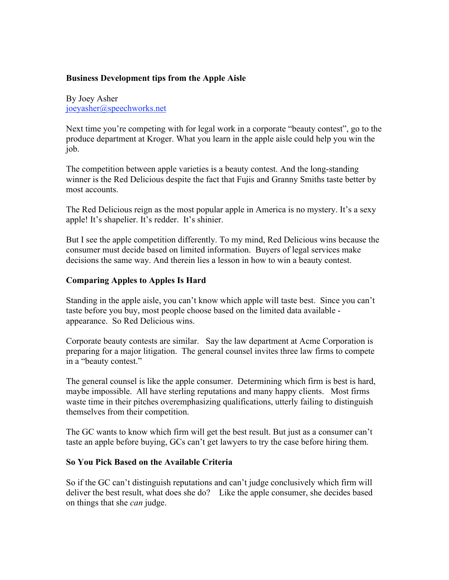## **Business Development tips from the Apple Aisle**

By Joey Asher joeyasher@speechworks.net

Next time you're competing with for legal work in a corporate "beauty contest", go to the produce department at Kroger. What you learn in the apple aisle could help you win the job.

The competition between apple varieties is a beauty contest. And the long-standing winner is the Red Delicious despite the fact that Fujis and Granny Smiths taste better by most accounts.

The Red Delicious reign as the most popular apple in America is no mystery. It's a sexy apple! It's shapelier. It's redder. It's shinier.

But I see the apple competition differently. To my mind, Red Delicious wins because the consumer must decide based on limited information. Buyers of legal services make decisions the same way. And therein lies a lesson in how to win a beauty contest.

## **Comparing Apples to Apples Is Hard**

Standing in the apple aisle, you can't know which apple will taste best. Since you can't taste before you buy, most people choose based on the limited data available appearance. So Red Delicious wins.

Corporate beauty contests are similar. Say the law department at Acme Corporation is preparing for a major litigation. The general counsel invites three law firms to compete in a "beauty contest."

The general counsel is like the apple consumer. Determining which firm is best is hard, maybe impossible. All have sterling reputations and many happy clients. Most firms waste time in their pitches overemphasizing qualifications, utterly failing to distinguish themselves from their competition.

The GC wants to know which firm will get the best result. But just as a consumer can't taste an apple before buying, GCs can't get lawyers to try the case before hiring them.

## **So You Pick Based on the Available Criteria**

So if the GC can't distinguish reputations and can't judge conclusively which firm will deliver the best result, what does she do? Like the apple consumer, she decides based on things that she *can* judge.